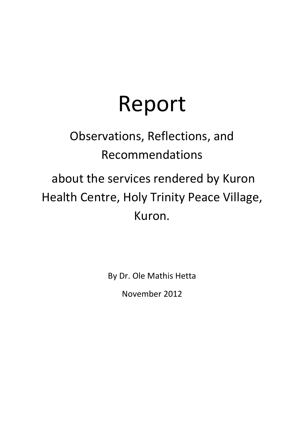# Report

# Observations, Reflections, and Recommendations

# about the services rendered by Kuron Health Centre, Holy Trinity Peace Village, Kuron.

By Dr. Ole Mathis Hetta

November 2012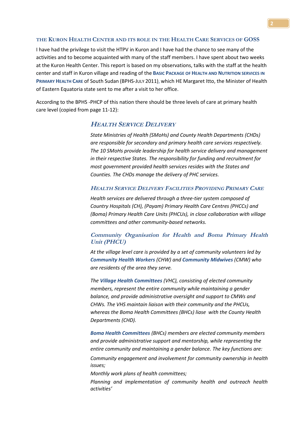# **THE KURON HEALTH CENTER AND ITS ROLE IN THE HEALTH CARE SERVICES OF GOSS**

I have had the privilege to visit the HTPV in Kuron and I have had the chance to see many of the activities and to become acquainted with many of the staff members. I have spent about two weeks at the Kuron Health Center. This report is based on my observations, talks with the staff at the health center and staff in Kuron village and reading of the **BASIC PACKAGE OF HEALTH AND NUTRITION SERVICES IN PRIMARY HEALTH CARE** of South Sudan (BPHS-JULY 2011), which HE Margaret Itto, the Minister of Health of Eastern Equatoria state sent to me after a visit to her office.

According to the BPHS -PHCP of this nation there should be three levels of care at primary health care level (copied from page 11-12):

# **HEALTH SERVICE DELIVERY**

*State Ministries of Health (SMoHs) and County Health Departments (CHDs) are responsible for secondary and primary health care services respectively. The 10 SMoHs provide leadership for health service delivery and management in their respective States. The responsibility for funding and recruitment for most government provided health services resides with the States and Counties. The CHDs manage the delivery of PHC services.*

#### **HEALTH SERVICE DELIVERY FACILITIES PROVIDING PRIMARY CARE**

*Health services are delivered through a three-tier system composed of Country Hospitals (CH), (Payam) Primary Health Care Centres (PHCCs) and (Boma) Primary Health Care Units (PHCUs), in close collaboration with village committees and other community-based networks.*

# **Community Organisation for Health and Boma Primary Health Unit (PHCU)**

*At the village level care is provided by a set of community volunteers led by Community Health Workers (CHW) and Community Midwives (CMW) who are residents of the area they serve.*

*The Village Health Committees (VHC), consisting of elected community members, represent the entire community while maintaining a gender balance, and provide administrative oversight and support to CMWs and CHWs. The VHS maintain liaison with their community and the PHCUs, whereas the Boma Health Committees (BHCs) liase with the County Health Departments (CHD).*

*Boma Health Committees (BHCs) members are elected community members and provide administrative support and mentorship, while representing the entire community and maintaining a gender balance. The key functions are: Community engagement and involvement for community ownership in health issues;*

*Monthly work plans of health committees;*

*Planning and implementation of community health and outreach health activities'*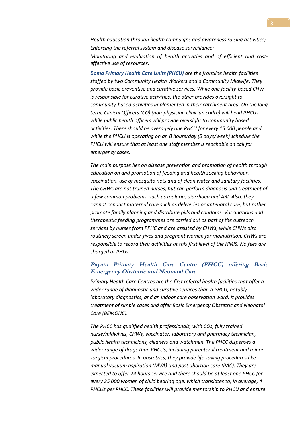*Health education through health campaigns and awareness raising activities; Enforcing the referral system and disease surveillance; Monitoring and evaluation of health activities and of efficient and costeffective use of resources.*

*Boma Primary Health Care Units (PHCU) are the frontline health facilities staffed by two Community Health Workers and a Community Midwife. They provide basic preventive and curative services. While one facility-based CHW is responsible for curative activities, the other provides oversight to community-based activities implemented in their catchment area. On the long term, Clinical Officers (CO) (non-physician clinician cadre) will head PHCUs while public health officers will provide oversight to community based activities. There should be averagely one PHCU for every 15 000 people and while the PHCU is operating on an 8 hours/day (5 days/week) schedule the PHCU will ensure that at least one staff member is reachable on call for emergency cases.*

*The main purpose lies on disease prevention and promotion of health through education on and promotion of feeding and health seeking behaviour, vaccination, use of mosquito nets and of clean water and sanitary facilities. The CHWs are not trained nurses, but can perform diagnosis and treatment of a few common problems, such as malaria, diarrhoea and ARI. Also, they cannot conduct maternal care such as deliveries or antenatal care, but rather promote family planning and distribute pills and condoms. Vaccinations and therapeutic feeding programmes are carried out as part of the outreach services by nurses from PPHC and are assisted by CHWs, while CHWs also routinely screen under-fives and pregnant women for malnutrition. CHWs are responsible to record their activities at this first level of the HMIS. No fees are charged at PHUs.*

# **Payam Primary Health Care Centre (PHCC) offering Basic Emergency Obstetric and Neonatal Care**

*Primary Health Care Centres are the first referral health facilities that offer a wider range of diagnostic and curative services than a PHCU, notably laboratory diagnostics, and an indoor care observation ward. It provides treatment of simple cases and offer Basic Emergency Obstetric and Neonatal Care (BEMONC).*

*The PHCC has qualified health professionals, with COs, fully trained nurse/midwives, CHWs, vaccinator, laboratory and pharmacy technician, public health technicians, cleaners and watchmen. The PHCC dispenses a wider range of drugs than PHCUs, including parenteral treatment and minor surgical procedures. In obstetrics, they provide life saving procedures like manual vacuum aspiration (MVA) and post abortion care (PAC). They are expected to offer 24 hours service and there should be at least one PHCC for every 25 000 women of child bearing age, which translates to, in average, 4 PHCUs per PHCC. These facilities will provide mentorship to PHCU and ensure*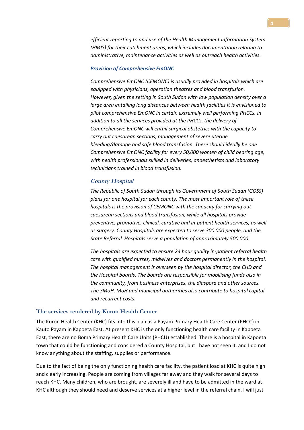*efficient reporting to and use of the Health Management Information System (HMIS) for their catchment areas, which includes documentation relating to administrative, maintenance activities as well as outreach health activities.*

#### *Provision of Comprehensive EmONC*

*Comprehensive EmONC (CEMONC) is usually provided in hospitals which are equipped with physicians, operation theatres and blood transfusion. However, given the setting in South Sudan with low population density over a large area entailing long distances between health facilities it is envisioned to pilot comprehensive EmONC in certain extremely well performing PHCCs. In addition to all the services provided at the PHCCs, the delivery of Comprehensive EmONC will entail surgical obstetrics with the capacity to carry out caesarean sections, management of severe uterine bleeding/damage and safe blood transfusion. There should ideally be one Comprehensive EmONC facility for every 50,000 women of child bearing age, with health professionals skilled in deliveries, anaesthetists and laboratory technicians trained in blood transfusion.*

### **County Hospital**

*The Republic of South Sudan through its Government of South Sudan (GOSS) plans for one hospital for each county. The most important role of these hospitals is the provision of CEMONC with the capacity for carrying out caesarean sections and blood transfusion, while all hospitals provide preventive, promotive, clinical, curative and in-patient health services, as well as surgery. County Hospitals are expected to serve 300 000 people, and the State Referral Hospitals serve a population of approximately 500 000.*

*The hospitals are expected to ensure 24 hour quality in-patient referral health care with qualified nurses, midwives and doctors permanently in the hospital. The hospital management is overseen by the hospital director, the CHD and the Hospital boards. The boards are responsible for mobilising funds also in the community, from business enterprises, the diaspora and other sources. The SMoH, MoH and municipal authorities also contribute to hospital capital and recurrent costs.*

#### **The services rendered by Kuron Health Center**

The Kuron Health Center (KHC) fits into this plan as a Payam Primary Health Care Center (PHCC) in Kauto Payam in Kapoeta East. At present KHC is the only functioning health care facility in Kapoeta East, there are no Boma Primary Health Care Units (PHCU) established. There is a hospital in Kapoeta town that could be functioning and considered a County Hospital, but I have not seen it, and I do not know anything about the staffing, supplies or performance.

Due to the fact of being the only functioning health care facility, the patient load at KHC is quite high and clearly increasing. People are coming from villages far away and they walk for several days to reach KHC. Many children, who are brought, are severely ill and have to be admitted in the ward at KHC although they should need and deserve services at a higher level in the referral chain. I will just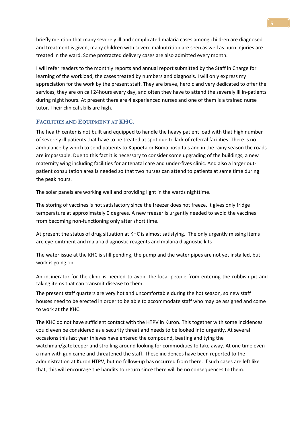briefly mention that many severely ill and complicated malaria cases among children are diagnosed and treatment is given, many children with severe malnutrition are seen as well as burn injuries are treated in the ward. Some protracted delivery cases are also admitted every month.

I will refer readers to the monthly reports and annual report submitted by the Staff in Charge for learning of the workload, the cases treated by numbers and diagnosis. I will only express my appreciation for the work by the present staff. They are brave, heroic and very dedicated to offer the services, they are on call 24hours every day, and often they have to attend the severely ill in-patients during night hours. At present there are 4 experienced nurses and one of them is a trained nurse tutor. Their clinical skills are high.

# **FACILITIES AND EQUIPMENT AT KHC.**

The health center is not built and equipped to handle the heavy patient load with that high number of severely ill patients that have to be treated at spot due to lack of referral facilities. There is no ambulance by which to send patients to Kapoeta or Boma hospitals and in the rainy season the roads are impassable. Due to this fact it is necessary to consider some upgrading of the buildings, a new maternity wing including facilities for antenatal care and under-fives clinic. And also a larger outpatient consultation area is needed so that two nurses can attend to patients at same time during the peak hours.

The solar panels are working well and providing light in the wards nighttime.

The storing of vaccines is not satisfactory since the freezer does not freeze, it gives only fridge temperature at approximately 0 degrees. A new freezer is urgently needed to avoid the vaccines from becoming non-functioning only after short time.

At present the status of drug situation at KHC is almost satisfying. The only urgently missing items are eye-ointment and malaria diagnostic reagents and malaria diagnostic kits

The water issue at the KHC is still pending, the pump and the water pipes are not yet installed, but work is going on.

An incinerator for the clinic is needed to avoid the local people from entering the rubbish pit and taking items that can transmit disease to them.

The present staff quarters are very hot and uncomfortable during the hot season, so new staff houses need to be erected in order to be able to accommodate staff who may be assigned and come to work at the KHC.

The KHC do not have sufficient contact with the HTPV in Kuron. This together with some incidences could even be considered as a security threat and needs to be looked into urgently. At several occasions this last year thieves have entered the compound, beating and tying the watchman/gatekeeper and strolling around looking for commodities to take away. At one time even a man with gun came and threatened the staff. These incidences have been reported to the administration at Kuron HTPV, but no follow-up has occurred from there. If such cases are left like that, this will encourage the bandits to return since there will be no consequences to them.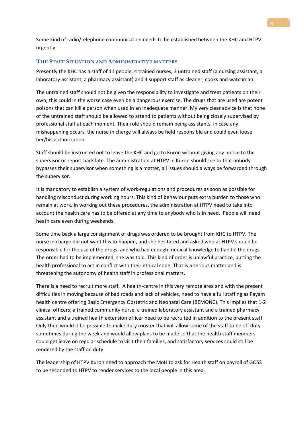Some kind of radio/telephone communication needs to be established between the KHC and HTPV urgently.

## **THE STAFF SITUATION AND ADMINISTRATIVE MATTERS**

Presently the KHC has a staff of 11 people, 4 trained nurses, 3 untrained staff (a nursing assistant, a laboratory assistant, a pharmacy assistant) and 4 support staff as cleaner, cooks and watchman.

The untrained staff should not be given the responsibility to investigate and treat patients on their own; this could in the worse case even be a dangerous exercise. The drugs that are used are potent poisons that can kill a person when used in an inadequate manner. My very clear advice is that none of the untrained staff should be allowed to attend to patients without being closely supervised by professional staff at each moment. Their role should remain being assistants. In case any mishappening occurs, the nurse in charge will always be held responsible and could even loose her/his authorization.

Staff should be instructed not to leave the KHC and go to Kuron without giving any notice to the supervisor or report back late. The administration at HTPV in Kuron should see to that nobody bypasses their supervisor when something is a matter, all issues should always be forwarded through the supervisor.

It is mandatory to establish a system of work-regulations and procedures as soon as possible for handling misconduct during working hours. This kind of behaviour puts extra burden to those who remain at work. In working out these procedures, the administration at HTPV need to take into account the health care has to be offered at any time to anybody who is in need. People will need heath care even during weekends.

Some time back a large consignment of drugs was ordered to be brought from KHC to HTPV. The nurse in charge did not want this to happen, and she hesitated and asked who at HTPV should be responsible for the use of the drugs, and who had enough medical knowledge to handle the drugs. The order had to be implemented, she was told. This kind of order is unlawful practice, putting the health professional to act in conflict with their ethical code. That is a serious matter and is threatening the autonomy of health staff in professional matters.

There is a need to recruit more staff. A health-centre in this very remote area and with the present difficulties in moving because of bad roads and lack of vehicles, need to have a full staffing as Payam health centre offering Basic Emergency Obstetric and Neonatal Care (BEMONC). This implies that 1-2 clinical officers, a trained community nurse, a trained laboratory assistant and a trained pharmacy assistant and a trained health extension officer need to be recruited in addition to the present staff. Only then would it be possible to make duty rooster that will allow some of the staff to be off duty sometimes during the week and would allow plans to be made so that the health staff members could get leave on regular schedule to visit their families, and satisfactory services could still be rendered by the staff on duty.

The leadership of HTPV Kuron need to approach the MoH to ask for Health staff on payroll of GOSS to be seconded to HTPV to render services to the local people in this area.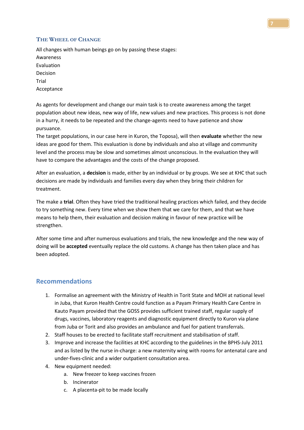# **THE WHEEL OF CHANGE**

All changes with human beings go on by passing these stages: Awareness Evaluation Decision Trial Acceptance

As agents for development and change our main task is to create awareness among the target population about new ideas, new way of life, new values and new practices. This process is not done in a hurry, it needs to be repeated and the change-agents need to have patience and show pursuance.

The target populations, in our case here in Kuron, the Toposa), will then **evaluate** whether the new ideas are good for them. This evaluation is done by individuals and also at village and community level and the process may be slow and sometimes almost unconscious. In the evaluation they will have to compare the advantages and the costs of the change proposed.

After an evaluation, a **decision** is made, either by an individual or by groups. We see at KHC that such decisions are made by individuals and families every day when they bring their children for treatment.

The make a **trial**. Often they have tried the traditional healing practices which failed, and they decide to try something new. Every time when we show them that we care for them, and that we have means to help them, their evaluation and decision making in favour of new practice will be strengthen.

After some time and after numerous evaluations and trials, the new knowledge and the new way of doing will be **accepted** eventually replace the old customs. A change has then taken place and has been adopted.

# **Recommendations**

- 1. Formalise an agreement with the Ministry of Health in Torit State and MOH at national level in Juba, that Kuron Health Centre could function as a Payam Primary Health Care Centre in Kauto Payam provided that the GOSS provides sufficient trained staff, regular supply of drugs, vaccines, laboratory reagents and diagnostic equipment directly to Kuron via plane from Juba or Torit and also provides an ambulance and fuel for patient transferrals.
- 2. Staff houses to be erected to facilitate staff recruitment and stabilisation of staff.
- 3. Improve and increase the facilities at KHC according to the guidelines in the BPHS-July 2011 and as listed by the nurse in-charge: a new maternity wing with rooms for antenatal care and under-fives-clinic and a wider outpatient consultation area.
- 4. New equipment needed:
	- a. New freezer to keep vaccines frozen
	- b. Incinerator
	- c. A placenta-pit to be made locally